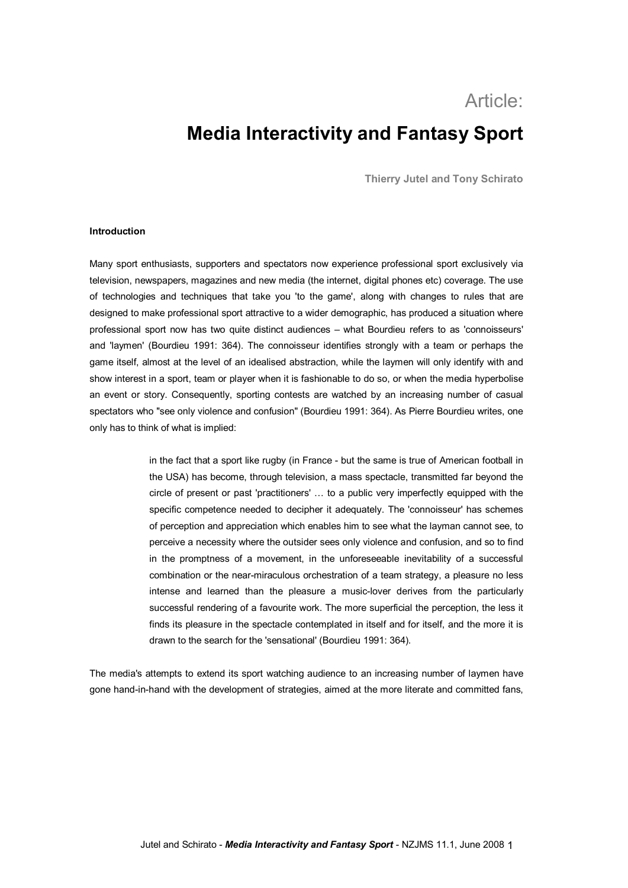# Article: **Media Interactivity and Fantasy Sport**

**Thierry Jutel and Tony Schirato**

# **Introduction**

Many sport enthusiasts, supporters and spectators now experience professional sport exclusively via television, newspapers, magazines and new media (the internet, digital phones etc) coverage. The use of technologies and techniques that take you 'to the game', along with changes to rules that are designed to make professional sport attractive to a wider demographic, has produced a situation where professional sport now has two quite distinct audiences – what Bourdieu refers to as 'connoisseurs' and 'laymen' (Bourdieu 1991: 364). The connoisseur identifies strongly with a team or perhaps the game itself, almost at the level of an idealised abstraction, while the laymen will only identify with and show interest in a sport, team or player when it is fashionable to do so, or when the media hyperbolise an event or story. Consequently, sporting contests are watched by an increasing number of casual spectators who "see only violence and confusion" (Bourdieu 1991: 364). As Pierre Bourdieu writes, one only has to think of what is implied:

> in the fact that a sport like rugby (in France - but the same is true of American football in the USA) has become, through television, a mass spectacle, transmitted far beyond the circle of present or past 'practitioners' … to a public very imperfectly equipped with the specific competence needed to decipher it adequately. The 'connoisseur' has schemes of perception and appreciation which enables him to see what the layman cannot see, to perceive a necessity where the outsider sees only violence and confusion, and so to find in the promptness of a movement, in the unforeseeable inevitability of a successful combination or the near-miraculous orchestration of a team strategy, a pleasure no less intense and learned than the pleasure a music-lover derives from the particularly successful rendering of a favourite work. The more superficial the perception, the less it finds its pleasure in the spectacle contemplated in itself and for itself, and the more it is drawn to the search for the 'sensational' (Bourdieu 1991: 364).

The media's attempts to extend its sport watching audience to an increasing number of laymen have gone hand-in-hand with the development of strategies, aimed at the more literate and committed fans,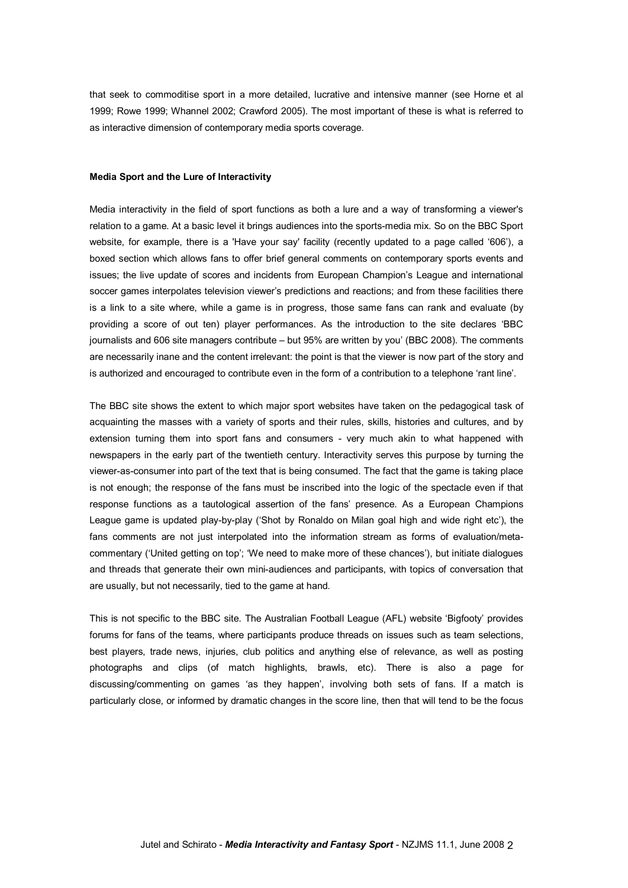that seek to commoditise sport in a more detailed, lucrative and intensive manner (see Horne et al 1999; Rowe 1999; Whannel 2002; Crawford 2005). The most important of these is what is referred to as interactive dimension of contemporary media sports coverage.

#### **Media Sport and the Lure of Interactivity**

Media interactivity in the field of sport functions as both a lure and a way of transforming a viewer's relation to a game. At a basic level it brings audiences into the sports-media mix. So on the BBC Sport website, for example, there is a 'Have your say' facility (recently updated to a page called '606'), a boxed section which allows fans to offer brief general comments on contemporary sports events and issues; the live update of scores and incidents from European Champion's League and international soccer games interpolates television viewer's predictions and reactions; and from these facilities there is a link to a site where, while a game is in progress, those same fans can rank and evaluate (by providing a score of out ten) player performances. As the introduction to the site declares 'BBC journalists and 606 site managers contribute – but 95% are written by you' (BBC 2008). The comments are necessarily inane and the content irrelevant: the point is that the viewer is now part of the story and is authorized and encouraged to contribute even in the form of a contribution to a telephone 'rant line'.

The BBC site shows the extent to which major sport websites have taken on the pedagogical task of acquainting the masses with a variety of sports and their rules, skills, histories and cultures, and by extension turning them into sport fans and consumers - very much akin to what happened with newspapers in the early part of the twentieth century. Interactivity serves this purpose by turning the viewer-as-consumer into part of the text that is being consumed. The fact that the game is taking place is not enough; the response of the fans must be inscribed into the logic of the spectacle even if that response functions as a tautological assertion of the fans' presence. As a European Champions League game is updated play-by-play ('Shot by Ronaldo on Milan goal high and wide right etc'), the fans comments are not just interpolated into the information stream as forms of evaluation/metacommentary ('United getting on top'; 'We need to make more of these chances'), but initiate dialogues and threads that generate their own mini-audiences and participants, with topics of conversation that are usually, but not necessarily, tied to the game at hand.

This is not specific to the BBC site. The Australian Football League (AFL) website 'Bigfooty' provides forums for fans of the teams, where participants produce threads on issues such as team selections, best players, trade news, injuries, club politics and anything else of relevance, as well as posting photographs and clips (of match highlights, brawls, etc). There is also a page for discussing/commenting on games 'as they happen', involving both sets of fans. If a match is particularly close, or informed by dramatic changes in the score line, then that will tend to be the focus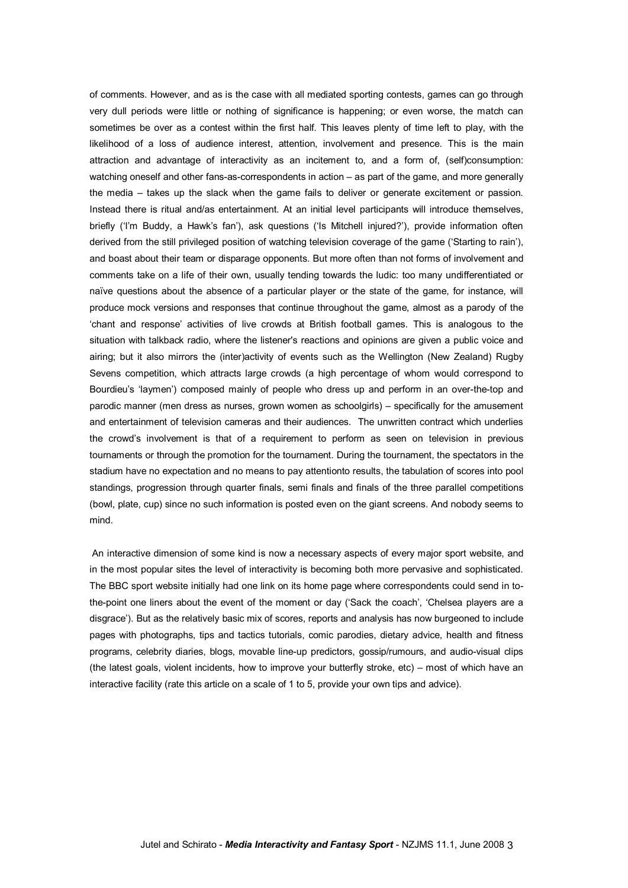of comments. However, and as is the case with all mediated sporting contests, games can go through very dull periods were little or nothing of significance is happening; or even worse, the match can sometimes be over as a contest within the first half. This leaves plenty of time left to play, with the likelihood of a loss of audience interest, attention, involvement and presence. This is the main attraction and advantage of interactivity as an incitement to, and a form of, (self)consumption: watching oneself and other fans-as-correspondents in action – as part of the game, and more generally the media – takes up the slack when the game fails to deliver or generate excitement or passion. Instead there is ritual and/as entertainment. At an initial level participants will introduce themselves, briefly ('I'm Buddy, a Hawk's fan'), ask questions ('Is Mitchell injured?'), provide information often derived from the still privileged position of watching television coverage of the game ('Starting to rain'), and boast about their team or disparage opponents. But more often than not forms of involvement and comments take on a life of their own, usually tending towards the ludic: too many undifferentiated or naïve questions about the absence of a particular player or the state of the game, for instance, will produce mock versions and responses that continue throughout the game, almost as a parody of the 'chant and response' activities of live crowds at British football games. This is analogous to the situation with talkback radio, where the listener's reactions and opinions are given a public voice and airing; but it also mirrors the (inter)activity of events such as the Wellington (New Zealand) Rugby Sevens competition, which attracts large crowds (a high percentage of whom would correspond to Bourdieu's 'laymen') composed mainly of people who dress up and perform in an over-the-top and parodic manner (men dress as nurses, grown women as schoolgirls) – specifically for the amusement and entertainment of television cameras and their audiences. The unwritten contract which underlies the crowd's involvement is that of a requirement to perform as seen on television in previous tournaments or through the promotion for the tournament. During the tournament, the spectators in the stadium have no expectation and no means to pay attentionto results, the tabulation of scores into pool standings, progression through quarter finals, semi finals and finals of the three parallel competitions (bowl, plate, cup) since no such information is posted even on the giant screens. And nobody seems to mind.

An interactive dimension of some kind is now a necessary aspects of every major sport website, and in the most popular sites the level of interactivity is becoming both more pervasive and sophisticated. The BBC sport website initially had one link on its home page where correspondents could send in to the-point one liners about the event of the moment or day ('Sack the coach', 'Chelsea players are a disgrace'). But as the relatively basic mix of scores, reports and analysis has now burgeoned to include pages with photographs, tips and tactics tutorials, comic parodies, dietary advice, health and fitness programs, celebrity diaries, blogs, movable line-up predictors, gossip/rumours, and audio-visual clips (the latest goals, violent incidents, how to improve your butterfly stroke, etc) – most of which have an interactive facility (rate this article on a scale of 1 to 5, provide your own tips and advice).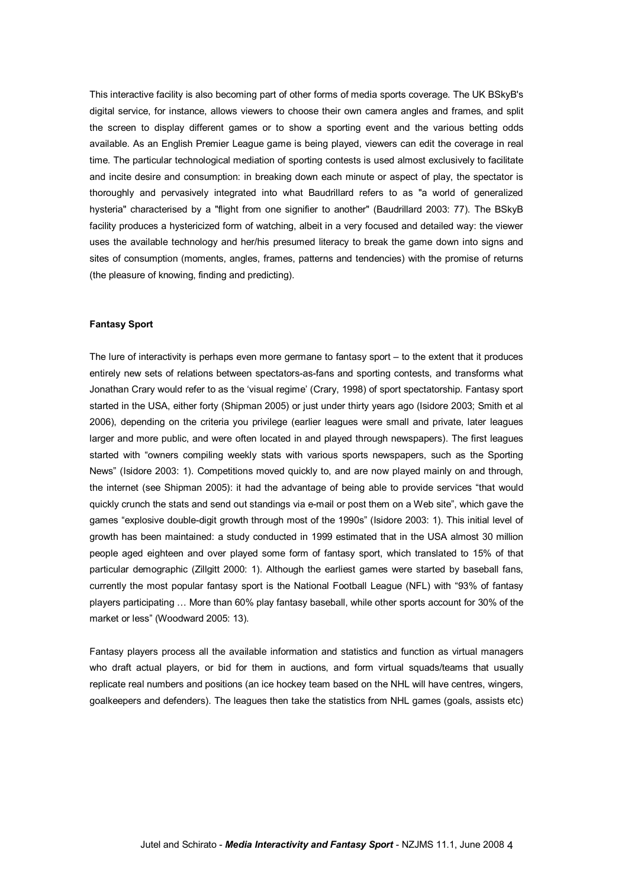This interactive facility is also becoming part of other forms of media sports coverage. The UK BSkyB's digital service, for instance, allows viewers to choose their own camera angles and frames, and split the screen to display different games or to show a sporting event and the various betting odds available. As an English Premier League game is being played, viewers can edit the coverage in real time. The particular technological mediation of sporting contests is used almost exclusively to facilitate and incite desire and consumption: in breaking down each minute or aspect of play, the spectator is thoroughly and pervasively integrated into what Baudrillard refers to as "a world of generalized hysteria" characterised by a "flight from one signifier to another" (Baudrillard 2003: 77). The BSkyB facility produces a hystericized form of watching, albeit in a very focused and detailed way: the viewer uses the available technology and her/his presumed literacy to break the game down into signs and sites of consumption (moments, angles, frames, patterns and tendencies) with the promise of returns (the pleasure of knowing, finding and predicting).

## **Fantasy Sport**

The lure of interactivity is perhaps even more germane to fantasy sport – to the extent that it produces entirely new sets of relations between spectators-as-fans and sporting contests, and transforms what Jonathan Crary would refer to as the 'visual regime' (Crary, 1998) of sport spectatorship. Fantasy sport started in the USA, either forty (Shipman 2005) or just under thirty years ago (Isidore 2003; Smith et al 2006), depending on the criteria you privilege (earlier leagues were small and private, later leagues larger and more public, and were often located in and played through newspapers). The first leagues started with "owners compiling weekly stats with various sports newspapers, such as the Sporting News" (Isidore 2003: 1). Competitions moved quickly to, and are now played mainly on and through, the internet (see Shipman 2005): it had the advantage of being able to provide services "that would quickly crunch the stats and send out standings via e-mail or post them on a Web site", which gave the games "explosive double-digit growth through most of the 1990s" (Isidore 2003: 1). This initial level of growth has been maintained: a study conducted in 1999 estimated that in the USA almost 30 million people aged eighteen and over played some form of fantasy sport, which translated to 15% of that particular demographic (Zillgitt 2000: 1). Although the earliest games were started by baseball fans, currently the most popular fantasy sport is the National Football League (NFL) with "93% of fantasy players participating … More than 60% play fantasy baseball, while other sports account for 30% of the market or less" (Woodward 2005: 13).

Fantasy players process all the available information and statistics and function as virtual managers who draft actual players, or bid for them in auctions, and form virtual squads/teams that usually replicate real numbers and positions (an ice hockey team based on the NHL will have centres, wingers, goalkeepers and defenders). The leagues then take the statistics from NHL games (goals, assists etc)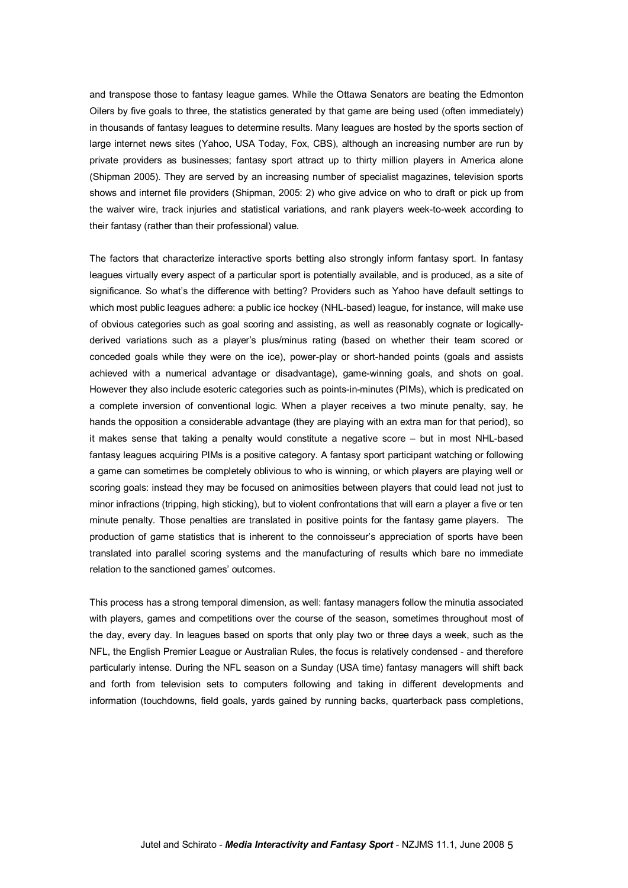and transpose those to fantasy league games. While the Ottawa Senators are beating the Edmonton Oilers by five goals to three, the statistics generated by that game are being used (often immediately) in thousands of fantasy leagues to determine results. Many leagues are hosted by the sports section of large internet news sites (Yahoo, USA Today, Fox, CBS), although an increasing number are run by private providers as businesses; fantasy sport attract up to thirty million players in America alone (Shipman 2005). They are served by an increasing number of specialist magazines, television sports shows and internet file providers (Shipman, 2005: 2) who give advice on who to draft or pick up from the waiver wire, track injuries and statistical variations, and rank players week-to-week according to their fantasy (rather than their professional) value.

The factors that characterize interactive sports betting also strongly inform fantasy sport. In fantasy leagues virtually every aspect of a particular sport is potentially available, and is produced, as a site of significance. So what's the difference with betting? Providers such as Yahoo have default settings to which most public leagues adhere: a public ice hockey (NHL-based) league, for instance, will make use of obvious categories such as goal scoring and assisting, as well as reasonably cognate or logicallyderived variations such as a player's plus/minus rating (based on whether their team scored or conceded goals while they were on the ice), power-play or short-handed points (goals and assists achieved with a numerical advantage or disadvantage), game-winning goals, and shots on goal. However they also include esoteric categories such as points-in-minutes (PIMs), which is predicated on a complete inversion of conventional logic. When a player receives a two minute penalty, say, he hands the opposition a considerable advantage (they are playing with an extra man for that period), so it makes sense that taking a penalty would constitute a negative score - but in most NHL-based fantasy leagues acquiring PIMs is a positive category. A fantasy sport participant watching or following a game can sometimes be completely oblivious to who is winning, or which players are playing well or scoring goals: instead they may be focused on animosities between players that could lead not just to minor infractions (tripping, high sticking), but to violent confrontations that will earn a player a five or ten minute penalty. Those penalties are translated in positive points for the fantasy game players. The production of game statistics that is inherent to the connoisseur's appreciation of sports have been translated into parallel scoring systems and the manufacturing of results which bare no immediate relation to the sanctioned games' outcomes.

This process has a strong temporal dimension, as well: fantasy managers follow the minutia associated with players, games and competitions over the course of the season, sometimes throughout most of the day, every day. In leagues based on sports that only play two or three days a week, such as the NFL, the English Premier League or Australian Rules, the focus is relatively condensed - and therefore particularly intense. During the NFL season on a Sunday (USA time) fantasy managers will shift back and forth from television sets to computers following and taking in different developments and information (touchdowns, field goals, yards gained by running backs, quarterback pass completions,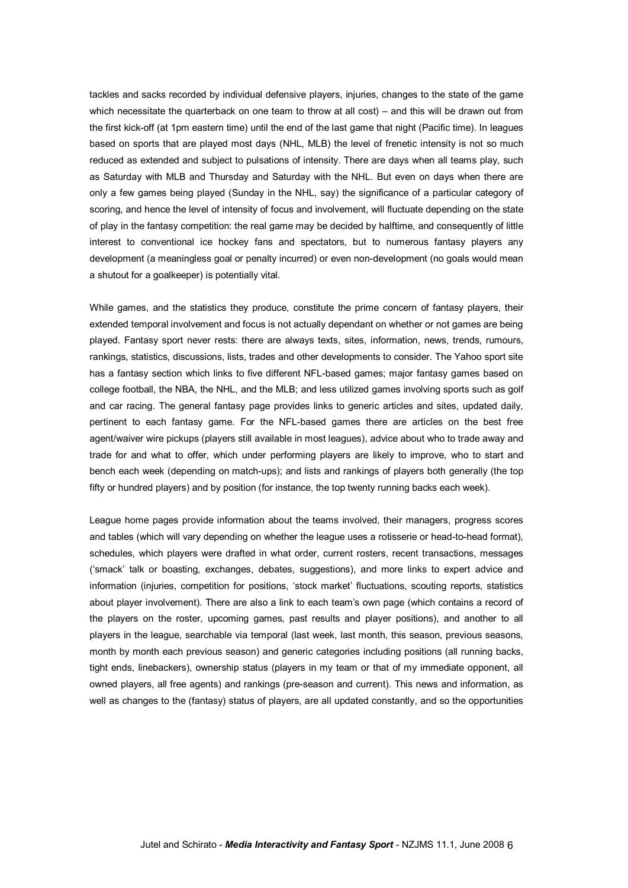tackles and sacks recorded by individual defensive players, injuries, changes to the state of the game which necessitate the quarterback on one team to throw at all cost) – and this will be drawn out from the first kick-off (at 1pm eastern time) until the end of the last game that night (Pacific time). In leagues based on sports that are played most days (NHL, MLB) the level of frenetic intensity is not so much reduced as extended and subject to pulsations of intensity. There are days when all teams play, such as Saturday with MLB and Thursday and Saturday with the NHL. But even on days when there are only a few games being played (Sunday in the NHL, say) the significance of a particular category of scoring, and hence the level of intensity of focus and involvement, will fluctuate depending on the state of play in the fantasy competition: the real game may be decided by halftime, and consequently of little interest to conventional ice hockey fans and spectators, but to numerous fantasy players any development (a meaningless goal or penalty incurred) or even non-development (no goals would mean a shutout for a goalkeeper) is potentially vital.

While games, and the statistics they produce, constitute the prime concern of fantasy players, their extended temporal involvement and focus is not actually dependant on whether or not games are being played. Fantasy sport never rests: there are always texts, sites, information, news, trends, rumours, rankings, statistics, discussions, lists, trades and other developments to consider. The Yahoo sport site has a fantasy section which links to five different NFL-based games; major fantasy games based on college football, the NBA, the NHL, and the MLB; and less utilized games involving sports such as golf and car racing. The general fantasy page provides links to generic articles and sites, updated daily, pertinent to each fantasy game. For the NFL-based games there are articles on the best free agent/waiver wire pickups (players still available in most leagues), advice about who to trade away and trade for and what to offer, which under performing players are likely to improve, who to start and bench each week (depending on match-ups); and lists and rankings of players both generally (the top fifty or hundred players) and by position (for instance, the top twenty running backs each week).

League home pages provide information about the teams involved, their managers, progress scores and tables (which will vary depending on whether the league uses a rotisserie or head-to-head format), schedules, which players were drafted in what order, current rosters, recent transactions, messages ('smack' talk or boasting, exchanges, debates, suggestions), and more links to expert advice and information (injuries, competition for positions, 'stock market' fluctuations, scouting reports, statistics about player involvement). There are also a link to each team's own page (which contains a record of the players on the roster, upcoming games, past results and player positions), and another to all players in the league, searchable via temporal (last week, last month, this season, previous seasons, month by month each previous season) and generic categories including positions (all running backs, tight ends, linebackers), ownership status (players in my team or that of my immediate opponent, all owned players, all free agents) and rankings (preseason and current). This news and information, as well as changes to the (fantasy) status of players, are all updated constantly, and so the opportunities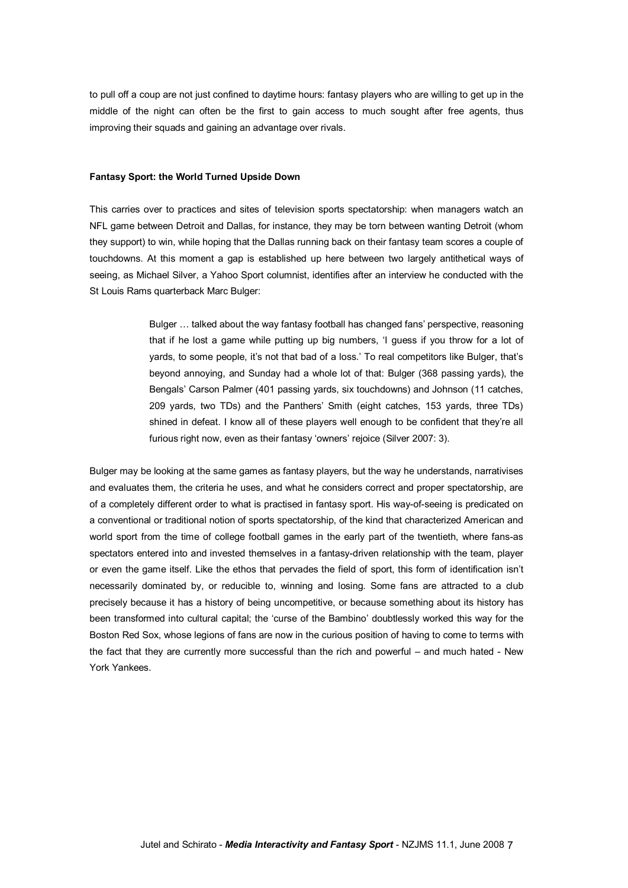to pull off a coup are not just confined to daytime hours: fantasy players who are willing to get up in the middle of the night can often be the first to gain access to much sought after free agents, thus improving their squads and gaining an advantage over rivals.

#### **Fantasy Sport: the World Turned Upside Down**

This carries over to practices and sites of television sports spectatorship: when managers watch an NFL game between Detroit and Dallas, for instance, they may be torn between wanting Detroit (whom they support) to win, while hoping that the Dallas running back on their fantasy team scores a couple of touchdowns. At this moment a gap is established up here between two largely antithetical ways of seeing, as Michael Silver, a Yahoo Sport columnist, identifies after an interview he conducted with the St Louis Rams quarterback Marc Bulger:

> Bulger … talked about the way fantasy football has changed fans' perspective, reasoning that if he lost a game while putting up big numbers, 'I guess if you throw for a lot of yards, to some people, it's not that bad of a loss.' To real competitors like Bulger, that's beyond annoying, and Sunday had a whole lot of that: Bulger (368 passing yards), the Bengals' Carson Palmer (401 passing yards, six touchdowns) and Johnson (11 catches, 209 yards, two TDs) and the Panthers' Smith (eight catches, 153 yards, three TDs) shined in defeat. I know all of these players well enough to be confident that they're all furious right now, even as their fantasy 'owners' rejoice (Silver 2007: 3).

Bulger may be looking at the same games as fantasy players, but the way he understands, narrativises and evaluates them, the criteria he uses, and what he considers correct and proper spectatorship, are of a completely different order to what is practised in fantasy sport. His way-of-seeing is predicated on a conventional or traditional notion of sports spectatorship, of the kind that characterized American and world sport from the time of college football games in the early part of the twentieth, where fans-as spectators entered into and invested themselves in a fantasy-driven relationship with the team, player or even the game itself. Like the ethos that pervades the field of sport, this form of identification isn't necessarily dominated by, or reducible to, winning and losing. Some fans are attracted to a club precisely because it has a history of being uncompetitive, or because something about its history has been transformed into cultural capital; the 'curse of the Bambino' doubtlessly worked this way for the Boston Red Sox, whose legions of fans are now in the curious position of having to come to terms with the fact that they are currently more successful than the rich and powerful – and much hated - New York Yankees.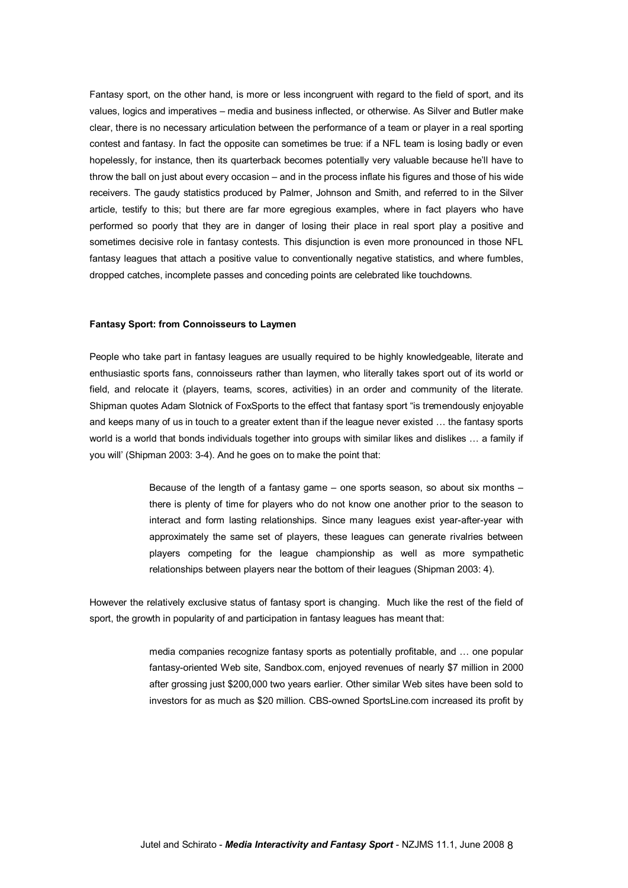Fantasy sport, on the other hand, is more or less incongruent with regard to the field of sport, and its values, logics and imperatives – media and business inflected, or otherwise. As Silver and Butler make clear, there is no necessary articulation between the performance of a team or player in a real sporting contest and fantasy. In fact the opposite can sometimes be true: if a NFL team is losing badly or even hopelessly, for instance, then its quarterback becomes potentially very valuable because he'll have to throw the ball on just about every occasion – and in the process inflate his figures and those of his wide receivers. The gaudy statistics produced by Palmer, Johnson and Smith, and referred to in the Silver article, testify to this; but there are far more egregious examples, where in fact players who have performed so poorly that they are in danger of losing their place in real sport play a positive and sometimes decisive role in fantasy contests. This disjunction is even more pronounced in those NFL fantasy leagues that attach a positive value to conventionally negative statistics, and where fumbles, dropped catches, incomplete passes and conceding points are celebrated like touchdowns.

## **Fantasy Sport: from Connoisseurs to Laymen**

People who take part in fantasy leagues are usually required to be highly knowledgeable, literate and enthusiastic sports fans, connoisseurs rather than laymen, who literally takes sport out of its world or field, and relocate it (players, teams, scores, activities) in an order and community of the literate. Shipman quotes Adam Slotnick of FoxSports to the effect that fantasy sport "is tremendously enjoyable and keeps many of us in touch to a greater extent than if the league never existed … the fantasy sports world is a world that bonds individuals together into groups with similar likes and dislikes … a family if you will' (Shipman 2003: 3-4). And he goes on to make the point that:

> Because of the length of a fantasy game – one sports season, so about six months – there is plenty of time for players who do not know one another prior to the season to interact and form lasting relationships. Since many leagues exist year-after-year with approximately the same set of players, these leagues can generate rivalries between players competing for the league championship as well as more sympathetic relationships between players near the bottom of their leagues (Shipman 2003: 4).

However the relatively exclusive status of fantasy sport is changing. Much like the rest of the field of sport, the growth in popularity of and participation in fantasy leagues has meant that:

> media companies recognize fantasy sports as potentially profitable, and … one popular fantasy-oriented Web site, Sandbox.com, enjoyed revenues of nearly \$7 million in 2000 after grossing just \$200,000 two years earlier. Other similar Web sites have been sold to investors for as much as \$20 million. CBS-owned SportsLine.com increased its profit by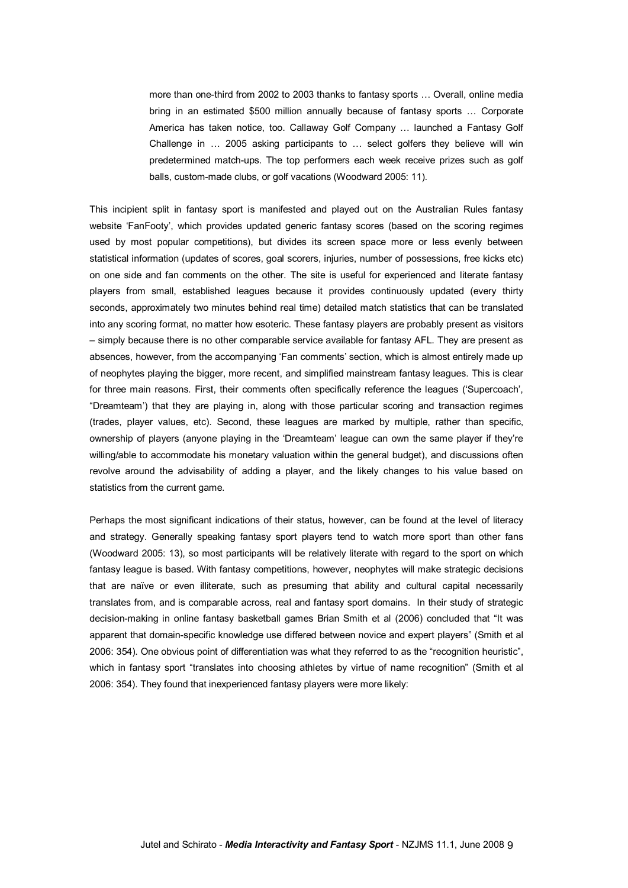more than one-third from 2002 to 2003 thanks to fantasy sports ... Overall, online media bring in an estimated \$500 million annually because of fantasy sports ... Corporate America has taken notice, too. Callaway Golf Company … launched a Fantasy Golf Challenge in … 2005 asking participants to … select golfers they believe will win predetermined match-ups. The top performers each week receive prizes such as golf balls, custom-made clubs, or golf vacations (Woodward 2005: 11).

This incipient split in fantasy sport is manifested and played out on the Australian Rules fantasy website 'FanFooty', which provides updated generic fantasy scores (based on the scoring regimes used by most popular competitions), but divides its screen space more or less evenly between statistical information (updates of scores, goal scorers, injuries, number of possessions, free kicks etc) on one side and fan comments on the other. The site is useful for experienced and literate fantasy players from small, established leagues because it provides continuously updated (every thirty seconds, approximately two minutes behind real time) detailed match statistics that can be translated into any scoring format, no matter how esoteric. These fantasy players are probably present as visitors – simply because there is no other comparable service available for fantasy AFL. They are present as absences, however, from the accompanying 'Fan comments' section, which is almost entirely made up of neophytes playing the bigger, more recent, and simplified mainstream fantasy leagues. This is clear for three main reasons. First, their comments often specifically reference the leagues ('Supercoach', "Dreamteam') that they are playing in, along with those particular scoring and transaction regimes (trades, player values, etc). Second, these leagues are marked by multiple, rather than specific, ownership of players (anyone playing in the 'Dreamteam' league can own the same player if they're willing/able to accommodate his monetary valuation within the general budget), and discussions often revolve around the advisability of adding a player, and the likely changes to his value based on statistics from the current game.

Perhaps the most significant indications of their status, however, can be found at the level of literacy and strategy. Generally speaking fantasy sport players tend to watch more sport than other fans (Woodward 2005: 13), so most participants will be relatively literate with regard to the sport on which fantasy league is based. With fantasy competitions, however, neophytes will make strategic decisions that are naïve or even illiterate, such as presuming that ability and cultural capital necessarily translates from, and is comparable across, real and fantasy sport domains. In their study of strategic decision-making in online fantasy basketball games Brian Smith et al (2006) concluded that "It was apparent that domain-specific knowledge use differed between novice and expert players" (Smith et al 2006: 354). One obvious point of differentiation was what they referred to as the "recognition heuristic", which in fantasy sport "translates into choosing athletes by virtue of name recognition" (Smith et al 2006: 354). They found that inexperienced fantasy players were more likely: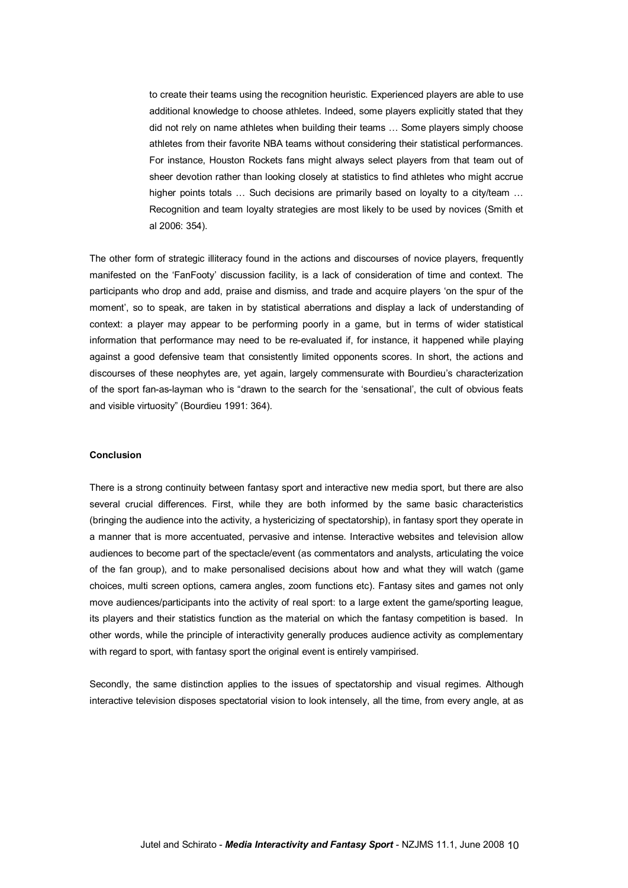to create their teams using the recognition heuristic. Experienced players are able to use additional knowledge to choose athletes. Indeed, some players explicitly stated that they did not rely on name athletes when building their teams … Some players simply choose athletes from their favorite NBA teams without considering their statistical performances. For instance, Houston Rockets fans might always select players from that team out of sheer devotion rather than looking closely at statistics to find athletes who might accrue higher points totals ... Such decisions are primarily based on loyalty to a city/team ...<br>Recognition and team loyalty strategies are most likely to be used by novices (Smith et al 2006: 354).

The other form of strategic illiteracy found in the actions and discourses of novice players, frequently manifested on the 'FanFooty' discussion facility, is a lack of consideration of time and context. The participants who drop and add, praise and dismiss, and trade and acquire players 'on the spur of the moment', so to speak, are taken in by statistical aberrations and display a lack of understanding of context: a player may appear to be performing poorly in a game, but in terms of wider statistical information that performance may need to be re-evaluated if, for instance, it happened while playing against a good defensive team that consistently limited opponents scores. In short, the actions and discourses of these neophytes are, yet again, largely commensurate with Bourdieu's characterization of the sport fan-as-layman who is "drawn to the search for the 'sensational', the cult of obvious feats and visible virtuosity" (Bourdieu 1991: 364).

# **Conclusion**

There is a strong continuity between fantasy sport and interactive new media sport, but there are also several crucial differences. First, while they are both informed by the same basic characteristics (bringing the audience into the activity, a hystericizing of spectatorship), in fantasy sport they operate in a manner that is more accentuated, pervasive and intense. Interactive websites and television allow audiences to become part of the spectacle/event (as commentators and analysts, articulating the voice of the fan group), and to make personalised decisions about how and what they will watch (game choices, multi screen options, camera angles, zoom functions etc). Fantasy sites and games not only move audiences/participants into the activity of real sport: to a large extent the game/sporting league, its players and their statistics function as the material on which the fantasy competition is based. In other words, while the principle of interactivity generally produces audience activity as complementary with regard to sport, with fantasy sport the original event is entirely vampirised.

Secondly, the same distinction applies to the issues of spectatorship and visual regimes. Although interactive television disposes spectatorial vision to look intensely, all the time, from every angle, at as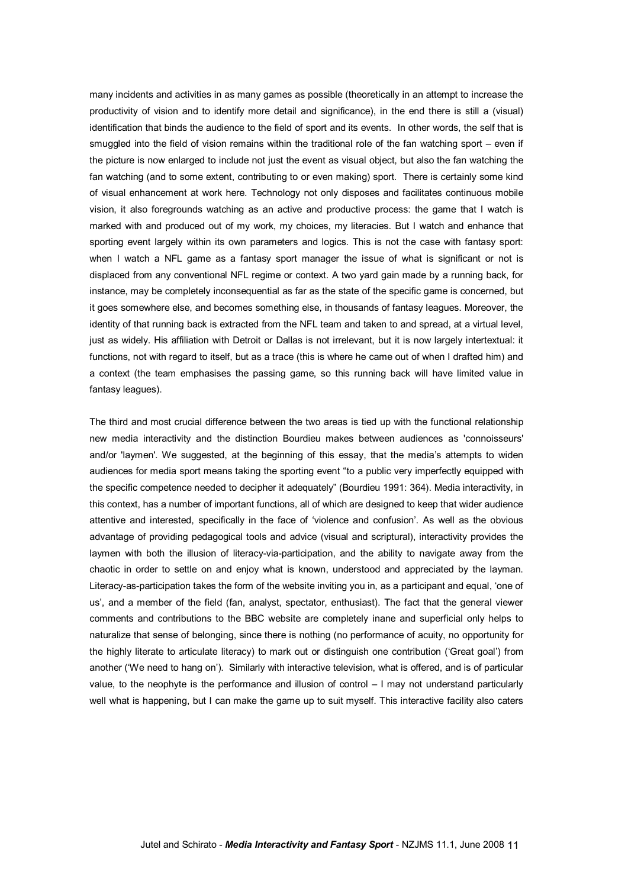many incidents and activities in as many games as possible (theoretically in an attempt to increase the productivity of vision and to identify more detail and significance), in the end there is still a (visual) identification that binds the audience to the field of sport and its events. In other words, the self that is smuggled into the field of vision remains within the traditional role of the fan watching sport – even if the picture is now enlarged to include not just the event as visual object, but also the fan watching the fan watching (and to some extent, contributing to or even making) sport. There is certainly some kind of visual enhancement at work here. Technology not only disposes and facilitates continuous mobile vision, it also foregrounds watching as an active and productive process: the game that I watch is marked with and produced out of my work, my choices, my literacies. But I watch and enhance that sporting event largely within its own parameters and logics. This is not the case with fantasy sport: when I watch a NFL game as a fantasy sport manager the issue of what is significant or not is displaced from any conventional NFL regime or context. A two yard gain made by a running back, for instance, may be completely inconsequential as far as the state of the specific game is concerned, but it goes somewhere else, and becomes something else, in thousands of fantasy leagues. Moreover, the identity of that running back is extracted from the NFL team and taken to and spread, at a virtual level, just as widely. His affiliation with Detroit or Dallas is not irrelevant, but it is now largely intertextual: it functions, not with regard to itself, but as a trace (this is where he came out of when I drafted him) and a context (the team emphasises the passing game, so this running back will have limited value in fantasy leagues).

The third and most crucial difference between the two areas is tied up with the functional relationship new media interactivity and the distinction Bourdieu makes between audiences as 'connoisseurs' and/or 'laymen'. We suggested, at the beginning of this essay, that the media's attempts to widen audiences for media sport means taking the sporting event "to a public very imperfectly equipped with the specific competence needed to decipher it adequately" (Bourdieu 1991: 364). Media interactivity, in this context, has a number of important functions, all of which are designed to keep that wider audience attentive and interested, specifically in the face of 'violence and confusion'. As well as the obvious advantage of providing pedagogical tools and advice (visual and scriptural), interactivity provides the laymen with both the illusion of literacy-via-participation, and the ability to navigate away from the chaotic in order to settle on and enjoy what is known, understood and appreciated by the layman. Literacy-as-participation takes the form of the website inviting you in, as a participant and equal, 'one of us', and a member of the field (fan, analyst, spectator, enthusiast). The fact that the general viewer comments and contributions to the BBC website are completely inane and superficial only helps to naturalize that sense of belonging, since there is nothing (no performance of acuity, no opportunity for the highly literate to articulate literacy) to mark out or distinguish one contribution ('Great goal') from another ('We need to hang on'). Similarly with interactive television, what is offered, and is of particular value, to the neophyte is the performance and illusion of control – I may not understand particularly well what is happening, but I can make the game up to suit myself. This interactive facility also caters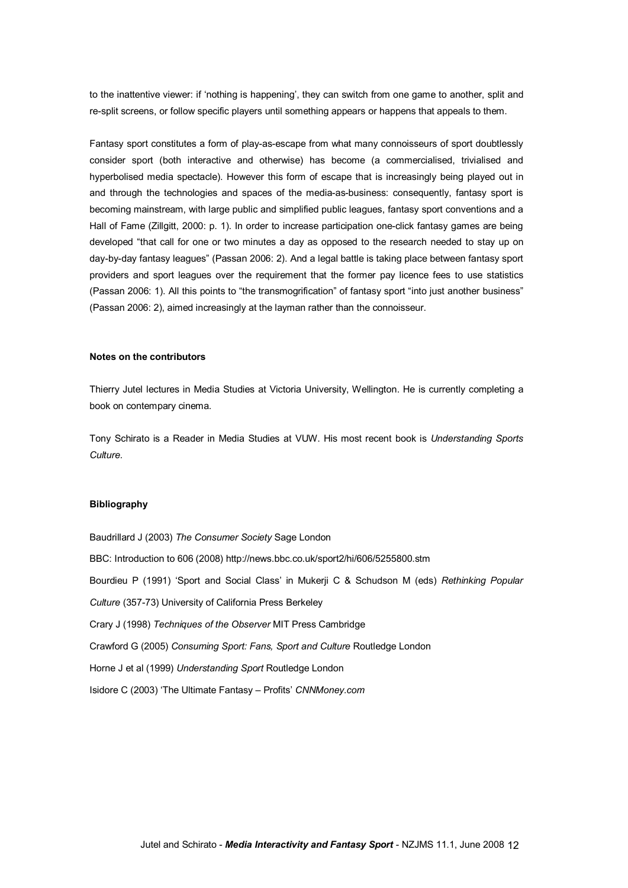to the inattentive viewer: if 'nothing is happening', they can switch from one game to another, split and re-split screens, or follow specific players until something appears or happens that appeals to them.

Fantasy sport constitutes a form of play-as-escape from what many connoisseurs of sport doubtlessly consider sport (both interactive and otherwise) has become (a commercialised, trivialised and hyperbolised media spectacle). However this form of escape that is increasingly being played out in and through the technologies and spaces of the media-as-business: consequently, fantasy sport is becoming mainstream, with large public and simplified public leagues, fantasy sport conventions and a Hall of Fame (Zillgitt, 2000: p. 1). In order to increase participation one-click fantasy games are being developed "that call for one or two minutes a day as opposed to the research needed to stay up on day-by-day fantasy leagues" (Passan 2006: 2). And a legal battle is taking place between fantasy sport providers and sport leagues over the requirement that the former pay licence fees to use statistics (Passan 2006: 1). All this points to "the transmogrification" of fantasy sport "into just another business" (Passan 2006: 2), aimed increasingly at the layman rather than the connoisseur.

# **Notes on the contributors**

Thierry Jutel lectures in Media Studies at Victoria University, Wellington. He is currently completing a book on contempary cinema.

Tony Schirato is a Reader in Media Studies at VUW. His most recent book is *Understanding Sports Culture.*

# **Bibliography**

Baudrillard J (2003) *The Consumer Society* Sage London BBC: Introduction to 606 (2008) http://news.bbc.co.uk/sport2/hi/606/5255800.stm Bourdieu P (1991) 'Sport and Social Class' in Mukerji C & Schudson M (eds) *Rethinking Popular*  Culture (357-73) University of California Press Berkeley Crary J (1998) *Techniques of the Observer* MIT Press Cambridge Crawford G (2005) *Consuming Sport: Fans, Sport and Culture* Routledge London Horne J et al (1999) *Understanding Sport* Routledge London Isidore C (2003) 'The Ultimate Fantasy – Profits' *CNNMoney.com*